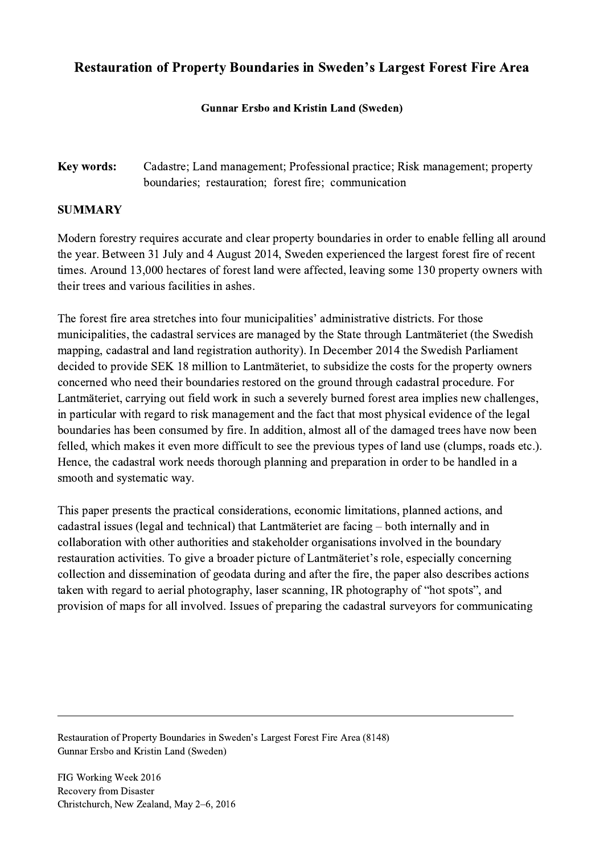## Restauration of Property Boundaries in Sweden's Largest Forest Fire Area

## Gunnar Ersbo and Kristin Land (Sweden)

Key words: Cadastre; Land management; Professional practice; Risk management; property boundaries; restauration; forest fire; communication

## SUMMARY

Modern forestry requires accurate and clear property boundaries in order to enable felling all around the year. Between 31 July and 4 August 2014, Sweden experienced the largest forest fire of recent times. Around 13,000 hectares of forest land were affected, leaving some 130 property owners with their trees and various facilities in ashes.

The forest fire area stretches into four municipalities' administrative districts. For those municipalities, the cadastral services are managed by the State through Lantmäteriet (the Swedish mapping, cadastral and land registration authority). In December 2014 the Swedish Parliament decided to provide SEK 18 million to Lantmäteriet, to subsidize the costs for the property owners concerned who need their boundaries restored on the ground through cadastral procedure. For Lantmäteriet, carrying out field work in such a severely burned forest area implies new challenges, in particular with regard to risk management and the fact that most physical evidence of the legal boundaries has been consumed by fire. In addition, almost all of the damaged trees have now been felled, which makes it even more difficult to see the previous types of land use (clumps, roads etc.). Hence, the cadastral work needs thorough planning and preparation in order to be handled in a smooth and systematic way.

This paper presents the practical considerations, economic limitations, planned actions, and cadastral issues (legal and technical) that Lantmäteriet are facing – both internally and in collaboration with other authorities and stakeholder organisations involved in the boundary restauration activities. To give a broader picture of Lantmäteriet's role, especially concerning collection and dissemination of geodata during and after the fire, the paper also describes actions taken with regard to aerial photography, laser scanning, IR photography of "hot spots", and provision of maps for all involved. Issues of preparing the cadastral surveyors for communicating

 $\mathcal{L}_\mathcal{L} = \{ \mathcal{L}_\mathcal{L} = \{ \mathcal{L}_\mathcal{L} = \{ \mathcal{L}_\mathcal{L} = \{ \mathcal{L}_\mathcal{L} = \{ \mathcal{L}_\mathcal{L} = \{ \mathcal{L}_\mathcal{L} = \{ \mathcal{L}_\mathcal{L} = \{ \mathcal{L}_\mathcal{L} = \{ \mathcal{L}_\mathcal{L} = \{ \mathcal{L}_\mathcal{L} = \{ \mathcal{L}_\mathcal{L} = \{ \mathcal{L}_\mathcal{L} = \{ \mathcal{L}_\mathcal{L} = \{ \mathcal{L}_\mathcal{$ 

Restauration of Property Boundaries in Sweden's Largest Forest Fire Area (8148) Gunnar Ersbo and Kristin Land (Sweden)

FIG Working Week 2016 Recovery from Disaster Christchurch, New Zealand, May 2–6, 2016